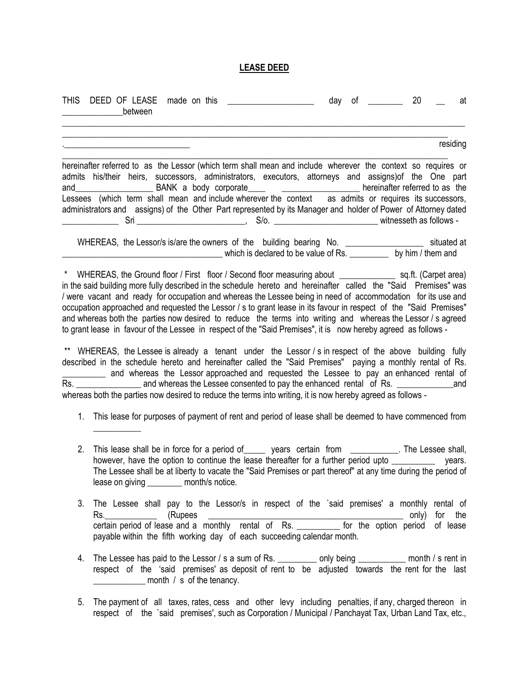## **LEASE DEED**

| THIS DEED OF LEASE<br>made on this _____________________<br><b>Example 10</b> between                                                                                                                                                                                                                                                                                                                                                                                                                                                                                                                                                                                                                   | day of __________ 20 | at       |
|---------------------------------------------------------------------------------------------------------------------------------------------------------------------------------------------------------------------------------------------------------------------------------------------------------------------------------------------------------------------------------------------------------------------------------------------------------------------------------------------------------------------------------------------------------------------------------------------------------------------------------------------------------------------------------------------------------|----------------------|----------|
|                                                                                                                                                                                                                                                                                                                                                                                                                                                                                                                                                                                                                                                                                                         |                      | residing |
| hereinafter referred to as the Lessor (which term shall mean and include wherever the context so requires or<br>admits his/their heirs, successors, administrators, executors, attorneys and assigns) of the One part<br>and BANK a body corporate between the context as admits or requires its successors,<br>administrators and assigns) of the Other Part represented by its Manager and holder of Power of Attorney dated<br>Sri ______________________________, S/o. ________________________________witnesseth as follows -                                                                                                                                                                      |                      |          |
|                                                                                                                                                                                                                                                                                                                                                                                                                                                                                                                                                                                                                                                                                                         |                      |          |
| * WHEREAS, the Ground floor / First floor / Second floor measuring about ________________ sq.ft. (Carpet area)<br>in the said building more fully described in the schedule hereto and hereinafter called the "Said Premises" was<br>/ were vacant and ready for occupation and whereas the Lessee being in need of accommodation for its use and<br>occupation approached and requested the Lessor / s to grant lease in its favour in respect of the "Said Premises"<br>and whereas both the parties now desired to reduce the terms into writing and whereas the Lessor / s agreed<br>to grant lease in favour of the Lessee in respect of the "Said Premises", it is now hereby agreed as follows - |                      |          |
| ** WHEREAS, the Lessee is already a tenant under the Lessor / s in respect of the above building fully<br>described in the schedule hereto and hereinafter called the "Said Premises" paying a monthly rental of Rs.<br>and whereas the Lessor approached and requested the Lessee to pay an enhanced rental of<br>whereas both the parties now desired to reduce the terms into writing, it is now hereby agreed as follows -                                                                                                                                                                                                                                                                          |                      |          |
| 1. This lease for purposes of payment of rent and period of lease shall be deemed to have commenced from                                                                                                                                                                                                                                                                                                                                                                                                                                                                                                                                                                                                |                      |          |
| This lease shall be in force for a period of ______ years certain from ___________. The Lessee shall,<br>2.<br>however, have the option to continue the lease thereafter for a further period upto<br>The Lessee shall be at liberty to vacate the "Said Premises or part thereof" at any time during the period of<br>lease on giving ________ month/s notice.                                                                                                                                                                                                                                                                                                                                         |                      | vears.   |
| 3.<br>The Lessee shall pay to the Lessor/s in respect of the 'said premises' a monthly rental of<br>Rs. (Rupees only) for the certain period of lease and a monthly rental of Rs. The for the option period of lease<br>payable within the fifth working day of each succeeding calendar month.                                                                                                                                                                                                                                                                                                                                                                                                         |                      |          |
| The Lessee has paid to the Lessor / s a sum of Rs. __________ only being __________ month / s rent in<br>4.<br>respect of the 'said premises' as deposit of rent to be adjusted towards the rent for the last<br>___________________ month / s of the tenancy.                                                                                                                                                                                                                                                                                                                                                                                                                                          |                      |          |

5. The payment of all taxes, rates, cess and other levy including penalties, if any, charged thereon in respect of the `said premises', such as Corporation / Municipal / Panchayat Tax, Urban Land Tax, etc.,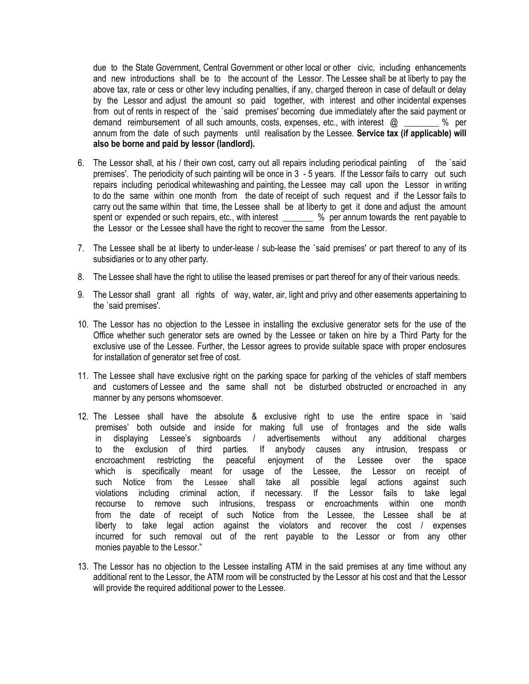due to the State Government, Central Government or other local or other civic, including enhancements and new introductions shall be to the account of the Lessor. The Lessee shall be at liberty to pay the above tax, rate or cess or other levy including penalties, if any, charged thereon in case of default or delay by the Lessor and adjust the amount so paid together, with interest and other incidental expenses from out of rents in respect of the `said premises' becoming due immediately after the said payment or demand reimbursement of all such amounts, costs, expenses, etc., with interest @ \_\_\_\_\_\_\_\_ % per annum from the date of such payments until realisation by the Lessee. **Service tax (if applicable) will also be borne and paid by lessor (landlord).**

- 6. The Lessor shall, at his / their own cost, carry out all repairs including periodical painting of the `said premises'. The periodicity of such painting will be once in 3 - 5 years. If the Lessor fails to carry out such repairs including periodical whitewashing and painting, the Lessee may call upon the Lessor in writing to do the same within one month from the date of receipt of such request and if the Lessor fails to carry out the same within that time, the Lessee shall be at liberty to get it done and adjust the amount spent or expended or such repairs, etc., with interest \_\_\_\_\_\_\_ % per annum towards the rent payable to the Lessor or the Lessee shall have the right to recover the same from the Lessor.
- 7. The Lessee shall be at liberty to under-lease / sub-lease the `said premises' or part thereof to any of its subsidiaries or to any other party.
- 8. The Lessee shall have the right to utilise the leased premises or part thereof for any of their various needs.
- 9. The Lessor shall grant all rights of way, water, air, light and privy and other easements appertaining to the `said premises'.
- 10. The Lessor has no objection to the Lessee in installing the exclusive generator sets for the use of the Office whether such generator sets are owned by the Lessee or taken on hire by a Third Party for the exclusive use of the Lessee. Further, the Lessor agrees to provide suitable space with proper enclosures for installation of generator set free of cost.
- 11. The Lessee shall have exclusive right on the parking space for parking of the vehicles of staff members and customers of Lessee and the same shall not be disturbed obstructed or encroached in any manner by any persons whomsoever.
- 12. The Lessee shall have the absolute & exclusive right to use the entire space in 'said premises' both outside and inside for making full use of frontages and the side walls in displaying Lessee's signboards / advertisements without any additional charges to the exclusion of third parties. If anybody causes any intrusion, trespass or encroachment restricting the peaceful enjoyment of the Lessee over the space which is specifically meant for usage of the Lessee, the Lessor on receipt of such Notice from the Lessee shall take all possible legal actions against such violations including criminal action, if necessary. If the Lessor fails to take legal recourse to remove such intrusions, trespass or encroachments within one month from the date of receipt of such Notice from the Lessee, the Lessee shall be at liberty to take legal action against the violators and recover the cost / expenses incurred for such removal out of the rent payable to the Lessor or from any other monies payable to the Lessor."
- 13. The Lessor has no objection to the Lessee installing ATM in the said premises at any time without any additional rent to the Lessor, the ATM room will be constructed by the Lessor at his cost and that the Lessor will provide the required additional power to the Lessee.